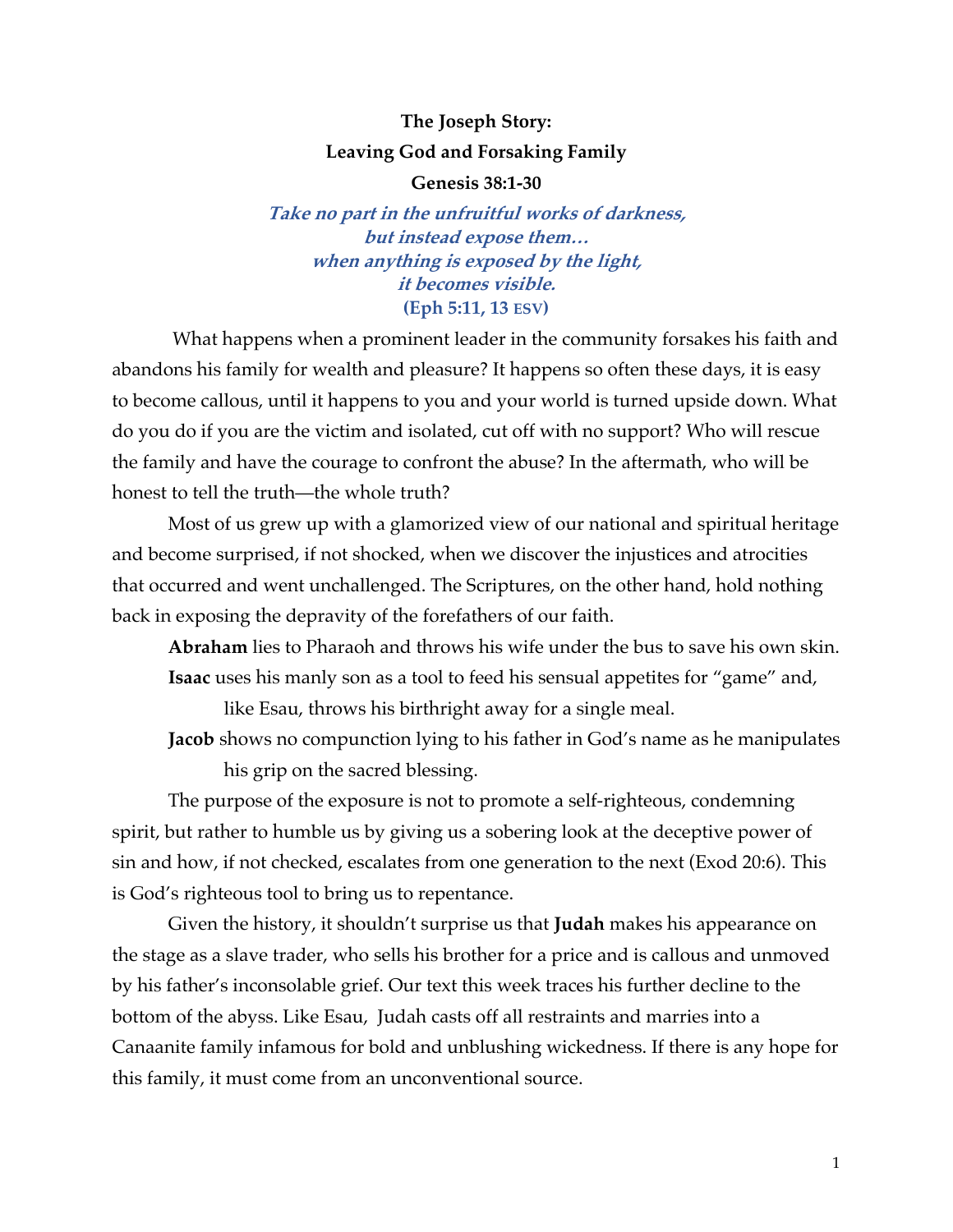# **The Joseph Story: Leaving God and Forsaking Family**

**Genesis 38:1-30**

**Take no part in the unfruitful works of darkness, but instead expose them… when anything is exposed by the light, it becomes visible. (Eph 5:11, 13 ESV)**

What happens when a prominent leader in the community forsakes his faith and abandons his family for wealth and pleasure? It happens so often these days, it is easy to become callous, until it happens to you and your world is turned upside down. What do you do if you are the victim and isolated, cut off with no support? Who will rescue the family and have the courage to confront the abuse? In the aftermath, who will be honest to tell the truth—the whole truth?

Most of us grew up with a glamorized view of our national and spiritual heritage and become surprised, if not shocked, when we discover the injustices and atrocities that occurred and went unchallenged. The Scriptures, on the other hand, hold nothing back in exposing the depravity of the forefathers of our faith.

**Abraham** lies to Pharaoh and throws his wife under the bus to save his own skin. **Isaac** uses his manly son as a tool to feed his sensual appetites for "game" and,

like Esau, throws his birthright away for a single meal.

**Jacob** shows no compunction lying to his father in God's name as he manipulates his grip on the sacred blessing.

The purpose of the exposure is not to promote a self-righteous, condemning spirit, but rather to humble us by giving us a sobering look at the deceptive power of sin and how, if not checked, escalates from one generation to the next (Exod 20:6). This is God's righteous tool to bring us to repentance.

Given the history, it shouldn't surprise us that **Judah** makes his appearance on the stage as a slave trader, who sells his brother for a price and is callous and unmoved by his father's inconsolable grief. Our text this week traces his further decline to the bottom of the abyss. Like Esau, Judah casts off all restraints and marries into a Canaanite family infamous for bold and unblushing wickedness. If there is any hope for this family, it must come from an unconventional source.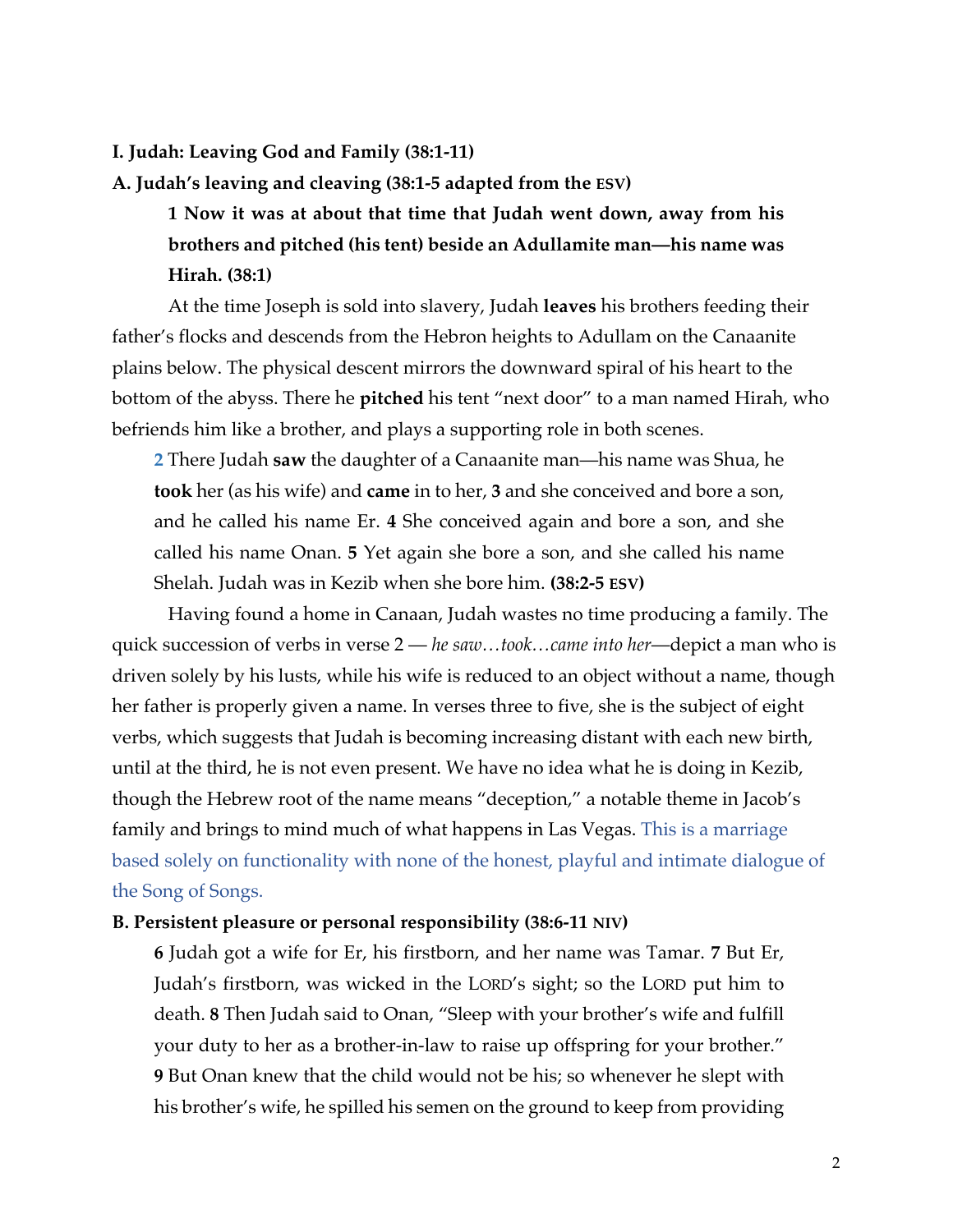## **I. Judah: Leaving God and Family (38:1-11)**

**A. Judah's leaving and cleaving (38:1-5 adapted from the ESV)**

**1 Now it was at about that time that Judah went down, away from his brothers and pitched (his tent) beside an Adullamite man—his name was Hirah. (38:1)**

At the time Joseph is sold into slavery, Judah **leaves** his brothers feeding their father's flocks and descends from the Hebron heights to Adullam on the Canaanite plains below. The physical descent mirrors the downward spiral of his heart to the bottom of the abyss. There he **pitched** his tent "next door" to a man named Hirah, who befriends him like a brother, and plays a supporting role in both scenes.

**2** There Judah **saw** the daughter of a Canaanite man—his name was Shua, he **took** her (as his wife) and **came** in to her, **3** and she conceived and bore a son, and he called his name Er. **4** She conceived again and bore a son, and she called his name Onan. **5** Yet again she bore a son, and she called his name Shelah. Judah was in Kezib when she bore him. **(38:2-5 ESV)**

Having found a home in Canaan, Judah wastes no time producing a family. The quick succession of verbs in verse 2 — *he saw…took…came into her*—depict a man who is driven solely by his lusts, while his wife is reduced to an object without a name, though her father is properly given a name. In verses three to five, she is the subject of eight verbs, which suggests that Judah is becoming increasing distant with each new birth, until at the third, he is not even present. We have no idea what he is doing in Kezib, though the Hebrew root of the name means "deception," a notable theme in Jacob's family and brings to mind much of what happens in Las Vegas. This is a marriage based solely on functionality with none of the honest, playful and intimate dialogue of the Song of Songs.

## **B. Persistent pleasure or personal responsibility (38:6-11 NIV)**

**6** Judah got a wife for Er, his firstborn, and her name was Tamar. **7** But Er, Judah's firstborn, was wicked in the LORD's sight; so the LORD put him to death. **8** Then Judah said to Onan, "Sleep with your brother's wife and fulfill your duty to her as a brother-in-law to raise up offspring for your brother." **9** But Onan knew that the child would not be his; so whenever he slept with his brother's wife, he spilled his semen on the ground to keep from providing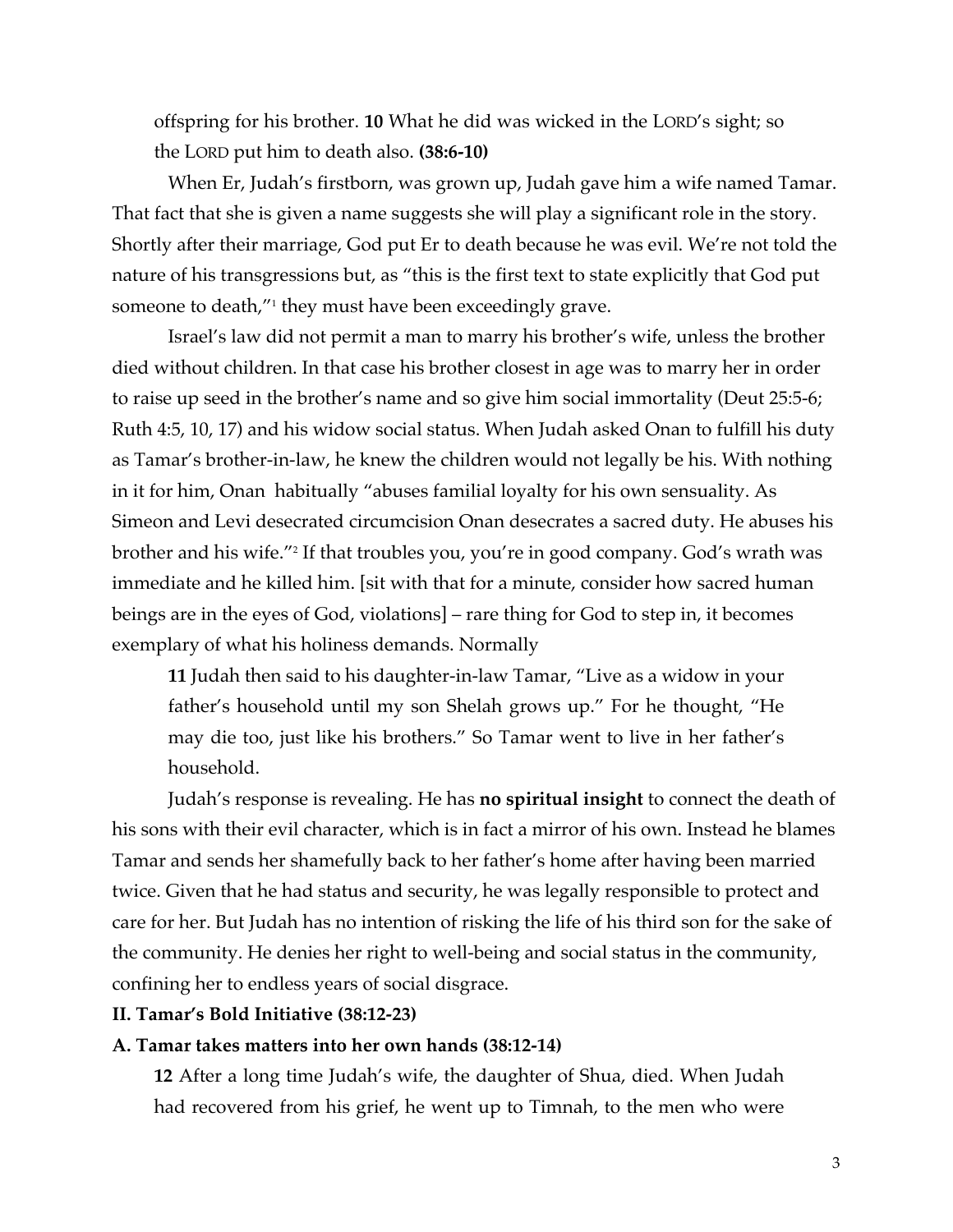offspring for his brother. **10** What he did was wicked in the LORD's sight; so the LORD put him to death also. **(38:6-10)**

When Er, Judah's firstborn, was grown up, Judah gave him a wife named Tamar. That fact that she is given a name suggests she will play a significant role in the story. Shortly after their marriage, God put Er to death because he was evil. We're not told the nature of his transgressions but, as "this is the first text to state explicitly that God put someone to death,"<sup>1</sup> they must have been exceedingly grave.

Israel's law did not permit a man to marry his brother's wife, unless the brother died without children. In that case his brother closest in age was to marry her in order to raise up seed in the brother's name and so give him social immortality (Deut 25:5-6; Ruth 4:5, 10, 17) and his widow social status. When Judah asked Onan to fulfill his duty as Tamar's brother-in-law, he knew the children would not legally be his. With nothing in it for him, Onan habitually "abuses familial loyalty for his own sensuality. As Simeon and Levi desecrated circumcision Onan desecrates a sacred duty. He abuses his brother and his wife."2 If that troubles you, you're in good company. God's wrath was immediate and he killed him. [sit with that for a minute, consider how sacred human beings are in the eyes of God, violations] – rare thing for God to step in, it becomes exemplary of what his holiness demands. Normally

**11** Judah then said to his daughter-in-law Tamar, "Live as a widow in your father's household until my son Shelah grows up." For he thought, "He may die too, just like his brothers." So Tamar went to live in her father's household.

Judah's response is revealing. He has **no spiritual insight** to connect the death of his sons with their evil character, which is in fact a mirror of his own. Instead he blames Tamar and sends her shamefully back to her father's home after having been married twice. Given that he had status and security, he was legally responsible to protect and care for her. But Judah has no intention of risking the life of his third son for the sake of the community. He denies her right to well-being and social status in the community, confining her to endless years of social disgrace.

#### **II. Tamar's Bold Initiative (38:12-23)**

#### **A. Tamar takes matters into her own hands (38:12-14)**

**12** After a long time Judah's wife, the daughter of Shua, died. When Judah had recovered from his grief, he went up to Timnah, to the men who were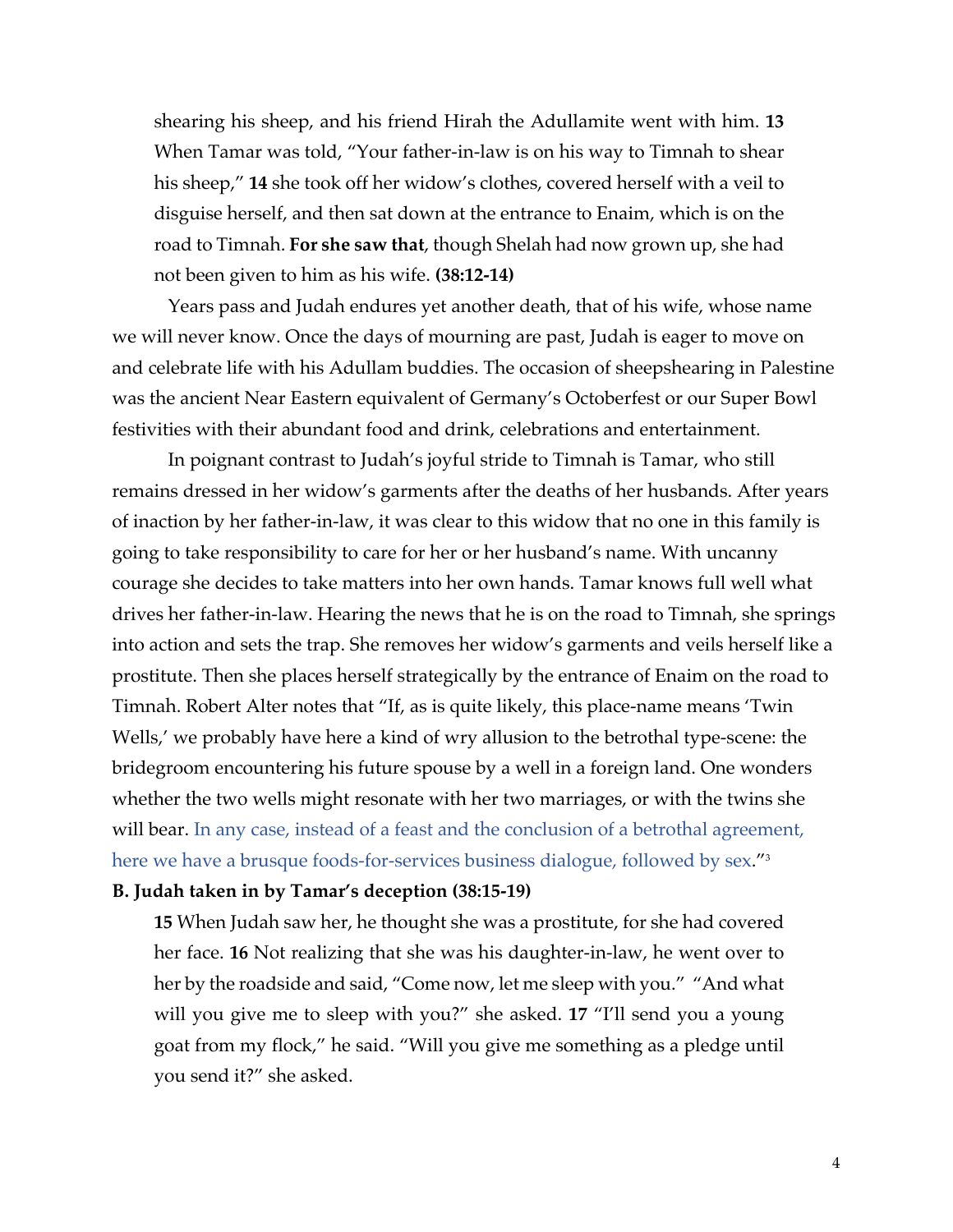shearing his sheep, and his friend Hirah the Adullamite went with him. **13** When Tamar was told, "Your father-in-law is on his way to Timnah to shear his sheep," **14** she took off her widow's clothes, covered herself with a veil to disguise herself, and then sat down at the entrance to Enaim, which is on the road to Timnah. **For she saw that**, though Shelah had now grown up, she had not been given to him as his wife. **(38:12-14)**

Years pass and Judah endures yet another death, that of his wife, whose name we will never know. Once the days of mourning are past, Judah is eager to move on and celebrate life with his Adullam buddies. The occasion of sheepshearing in Palestine was the ancient Near Eastern equivalent of Germany's Octoberfest or our Super Bowl festivities with their abundant food and drink, celebrations and entertainment.

In poignant contrast to Judah's joyful stride to Timnah is Tamar, who still remains dressed in her widow's garments after the deaths of her husbands. After years of inaction by her father-in-law, it was clear to this widow that no one in this family is going to take responsibility to care for her or her husband's name. With uncanny courage she decides to take matters into her own hands. Tamar knows full well what drives her father-in-law. Hearing the news that he is on the road to Timnah, she springs into action and sets the trap. She removes her widow's garments and veils herself like a prostitute. Then she places herself strategically by the entrance of Enaim on the road to Timnah. Robert Alter notes that "If, as is quite likely, this place-name means 'Twin Wells,' we probably have here a kind of wry allusion to the betrothal type-scene: the bridegroom encountering his future spouse by a well in a foreign land. One wonders whether the two wells might resonate with her two marriages, or with the twins she will bear. In any case, instead of a feast and the conclusion of a betrothal agreement, here we have a brusque foods-for-services business dialogue, followed by sex."<sup>3</sup>

#### **B. Judah taken in by Tamar's deception (38:15-19)**

**15** When Judah saw her, he thought she was a prostitute, for she had covered her face. **16** Not realizing that she was his daughter-in-law, he went over to her by the roadside and said, "Come now, let me sleep with you." "And what will you give me to sleep with you?" she asked. **17** "I'll send you a young goat from my flock," he said. "Will you give me something as a pledge until you send it?" she asked.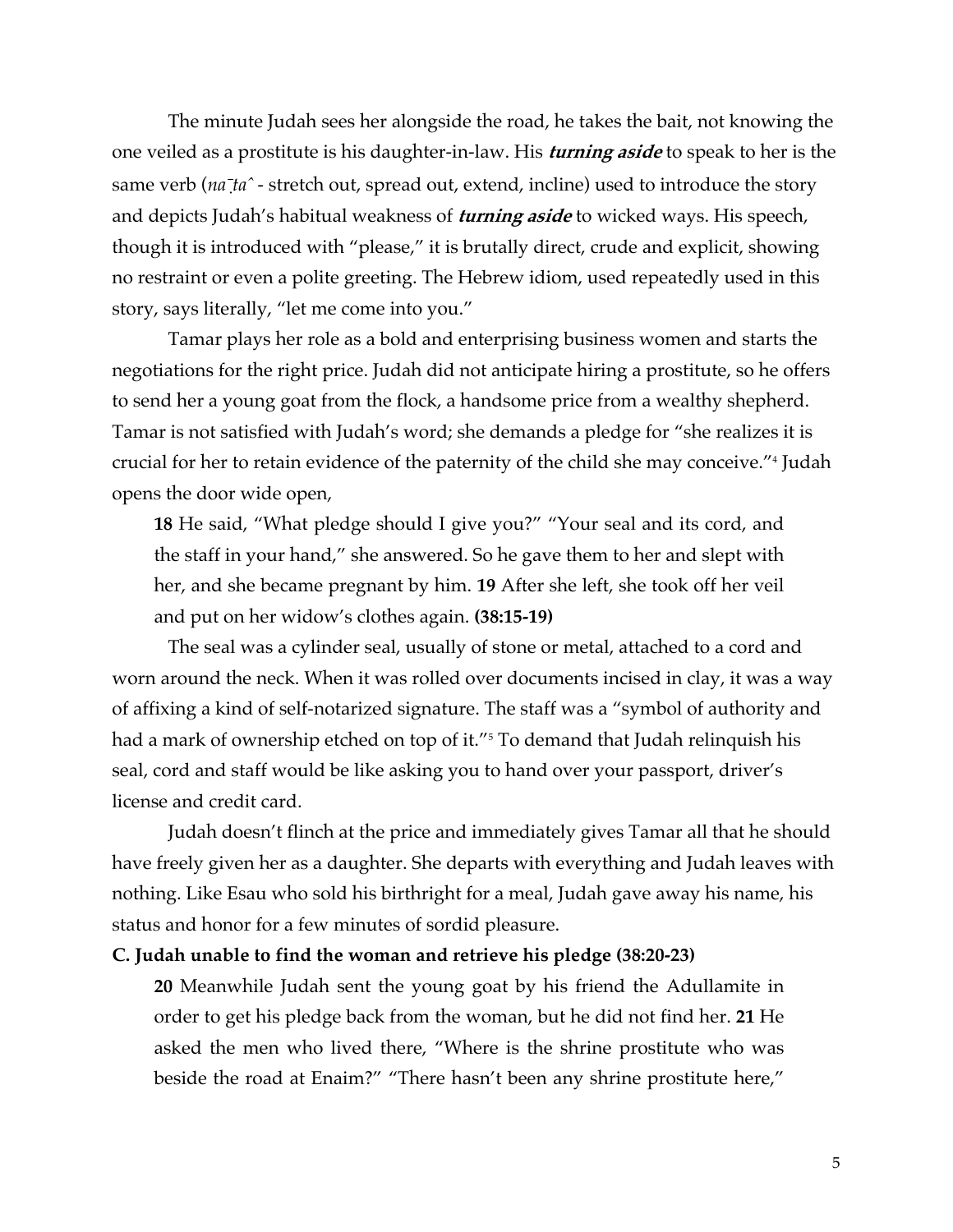The minute Judah sees her alongside the road, he takes the bait, not knowing the one veiled as a prostitute is his daughter-in-law. His **turning aside** to speak to her is the same verb ( $na<sup>†</sup>ta<sup>^</sup>$  - stretch out, spread out, extend, incline) used to introduce the story and depicts Judah's habitual weakness of **turning aside** to wicked ways. His speech, though it is introduced with "please," it is brutally direct, crude and explicit, showing no restraint or even a polite greeting. The Hebrew idiom, used repeatedly used in this story, says literally, "let me come into you."

Tamar plays her role as a bold and enterprising business women and starts the negotiations for the right price. Judah did not anticipate hiring a prostitute, so he offers to send her a young goat from the flock, a handsome price from a wealthy shepherd. Tamar is not satisfied with Judah's word; she demands a pledge for "she realizes it is crucial for her to retain evidence of the paternity of the child she may conceive."4 Judah opens the door wide open,

**18** He said, "What pledge should I give you?" "Your seal and its cord, and the staff in your hand," she answered. So he gave them to her and slept with her, and she became pregnant by him. **19** After she left, she took off her veil and put on her widow's clothes again. **(38:15-19)**

The seal was a cylinder seal, usually of stone or metal, attached to a cord and worn around the neck. When it was rolled over documents incised in clay, it was a way of affixing a kind of self-notarized signature. The staff was a "symbol of authority and had a mark of ownership etched on top of it."<sup>5</sup> To demand that Judah relinquish his seal, cord and staff would be like asking you to hand over your passport, driver's license and credit card.

Judah doesn't flinch at the price and immediately gives Tamar all that he should have freely given her as a daughter. She departs with everything and Judah leaves with nothing. Like Esau who sold his birthright for a meal, Judah gave away his name, his status and honor for a few minutes of sordid pleasure.

#### **C. Judah unable to find the woman and retrieve his pledge (38:20-23)**

**20** Meanwhile Judah sent the young goat by his friend the Adullamite in order to get his pledge back from the woman, but he did not find her. **21** He asked the men who lived there, "Where is the shrine prostitute who was beside the road at Enaim?" "There hasn't been any shrine prostitute here,"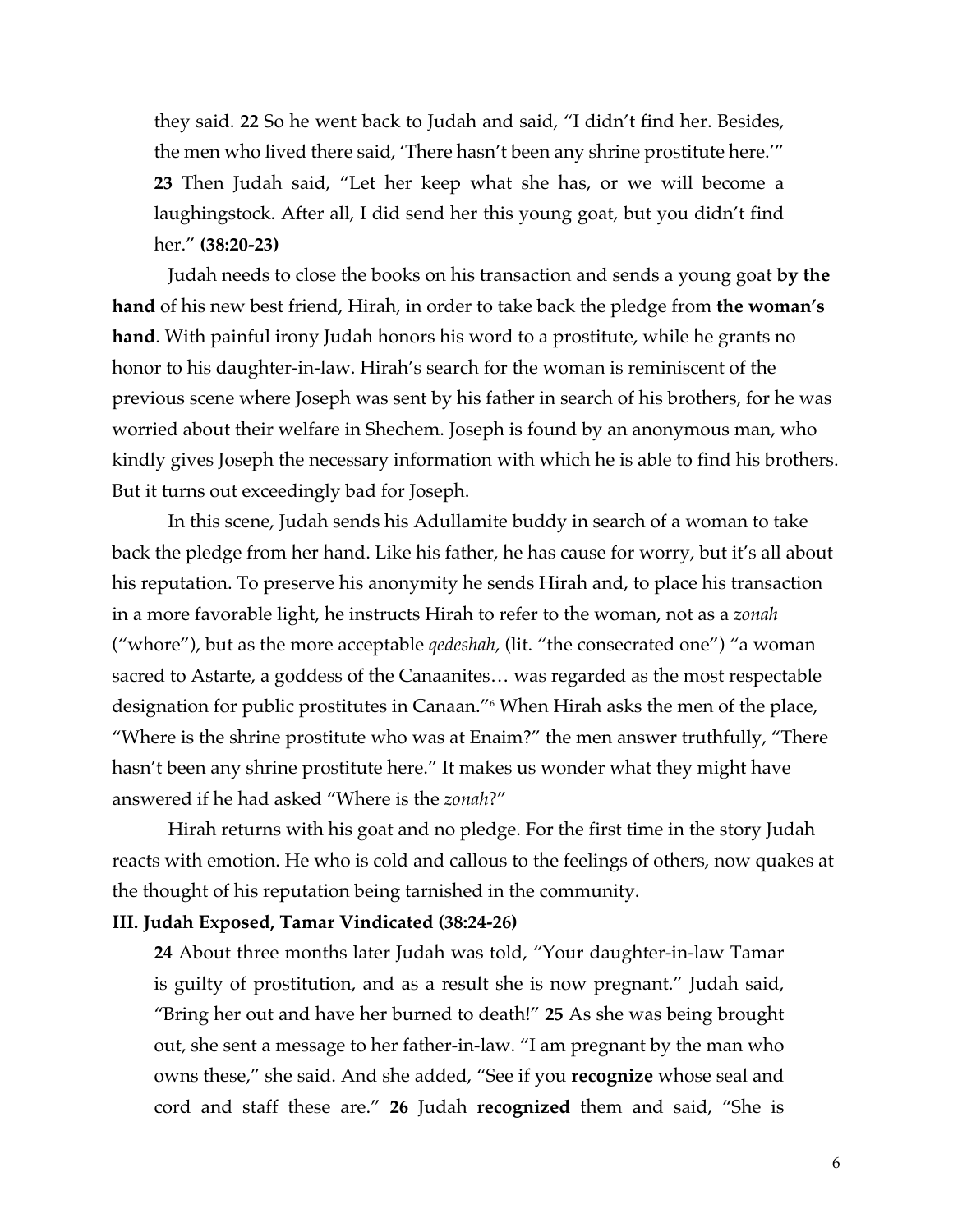they said. **22** So he went back to Judah and said, "I didn't find her. Besides, the men who lived there said, 'There hasn't been any shrine prostitute here.'" **23** Then Judah said, "Let her keep what she has, or we will become a laughingstock. After all, I did send her this young goat, but you didn't find her." **(38:20-23)**

Judah needs to close the books on his transaction and sends a young goat **by the hand** of his new best friend, Hirah, in order to take back the pledge from **the woman's hand**. With painful irony Judah honors his word to a prostitute, while he grants no honor to his daughter-in-law. Hirah's search for the woman is reminiscent of the previous scene where Joseph was sent by his father in search of his brothers, for he was worried about their welfare in Shechem. Joseph is found by an anonymous man, who kindly gives Joseph the necessary information with which he is able to find his brothers. But it turns out exceedingly bad for Joseph.

In this scene, Judah sends his Adullamite buddy in search of a woman to take back the pledge from her hand. Like his father, he has cause for worry, but it's all about his reputation. To preserve his anonymity he sends Hirah and, to place his transaction in a more favorable light, he instructs Hirah to refer to the woman, not as a *zonah* ("whore"), but as the more acceptable *qedeshah,* (lit. "the consecrated one") "a woman sacred to Astarte, a goddess of the Canaanites… was regarded as the most respectable designation for public prostitutes in Canaan."6 When Hirah asks the men of the place, "Where is the shrine prostitute who was at Enaim?" the men answer truthfully, "There hasn't been any shrine prostitute here." It makes us wonder what they might have answered if he had asked "Where is the *zonah*?"

Hirah returns with his goat and no pledge. For the first time in the story Judah reacts with emotion. He who is cold and callous to the feelings of others, now quakes at the thought of his reputation being tarnished in the community.

#### **III. Judah Exposed, Tamar Vindicated (38:24-26)**

**24** About three months later Judah was told, "Your daughter-in-law Tamar is guilty of prostitution, and as a result she is now pregnant." Judah said, "Bring her out and have her burned to death!" **25** As she was being brought out, she sent a message to her father-in-law. "I am pregnant by the man who owns these," she said. And she added, "See if you **recognize** whose seal and cord and staff these are." **26** Judah **recognized** them and said, "She is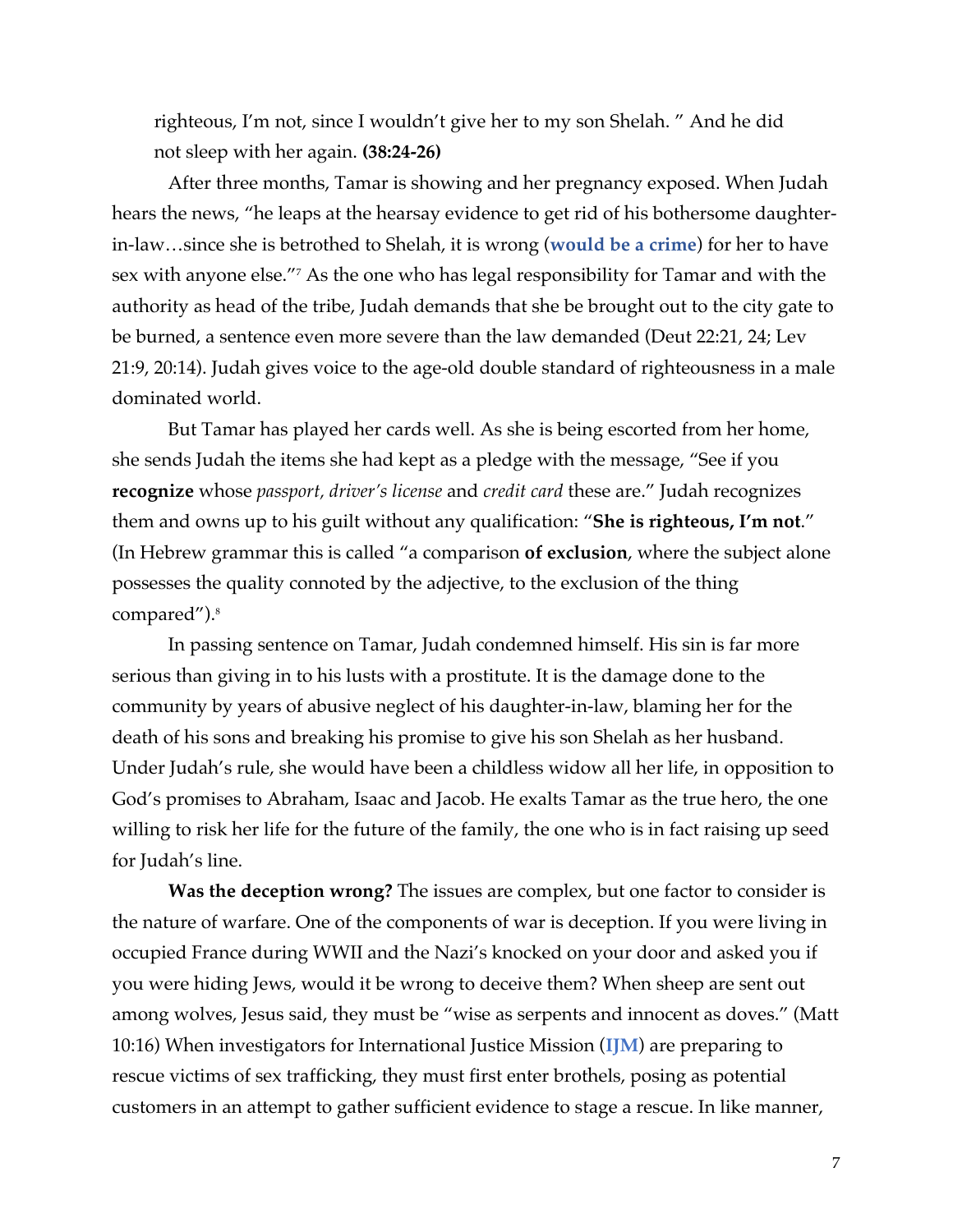righteous, I'm not, since I wouldn't give her to my son Shelah. " And he did not sleep with her again. **(38:24-26)**

After three months, Tamar is showing and her pregnancy exposed. When Judah hears the news, "he leaps at the hearsay evidence to get rid of his bothersome daughterin-law…since she is betrothed to Shelah, it is wrong (**would be a crime**) for her to have sex with anyone else."7 As the one who has legal responsibility for Tamar and with the authority as head of the tribe, Judah demands that she be brought out to the city gate to be burned, a sentence even more severe than the law demanded (Deut 22:21, 24; Lev 21:9, 20:14). Judah gives voice to the age-old double standard of righteousness in a male dominated world.

But Tamar has played her cards well. As she is being escorted from her home, she sends Judah the items she had kept as a pledge with the message, "See if you **recognize** whose *passport, driver's license* and *credit card* these are." Judah recognizes them and owns up to his guilt without any qualification: "**She is righteous, I'm not**." (In Hebrew grammar this is called "a comparison **of exclusion**, where the subject alone possesses the quality connoted by the adjective, to the exclusion of the thing compared").<sup>8</sup>

In passing sentence on Tamar, Judah condemned himself. His sin is far more serious than giving in to his lusts with a prostitute. It is the damage done to the community by years of abusive neglect of his daughter-in-law, blaming her for the death of his sons and breaking his promise to give his son Shelah as her husband. Under Judah's rule, she would have been a childless widow all her life, in opposition to God's promises to Abraham, Isaac and Jacob. He exalts Tamar as the true hero, the one willing to risk her life for the future of the family, the one who is in fact raising up seed for Judah's line.

**Was the deception wrong?** The issues are complex, but one factor to consider is the nature of warfare. One of the components of war is deception. If you were living in occupied France during WWII and the Nazi's knocked on your door and asked you if you were hiding Jews, would it be wrong to deceive them? When sheep are sent out among wolves, Jesus said, they must be "wise as serpents and innocent as doves." (Matt 10:16) When investigators for International Justice Mission (**IJM**) are preparing to rescue victims of sex trafficking, they must first enter brothels, posing as potential customers in an attempt to gather sufficient evidence to stage a rescue. In like manner,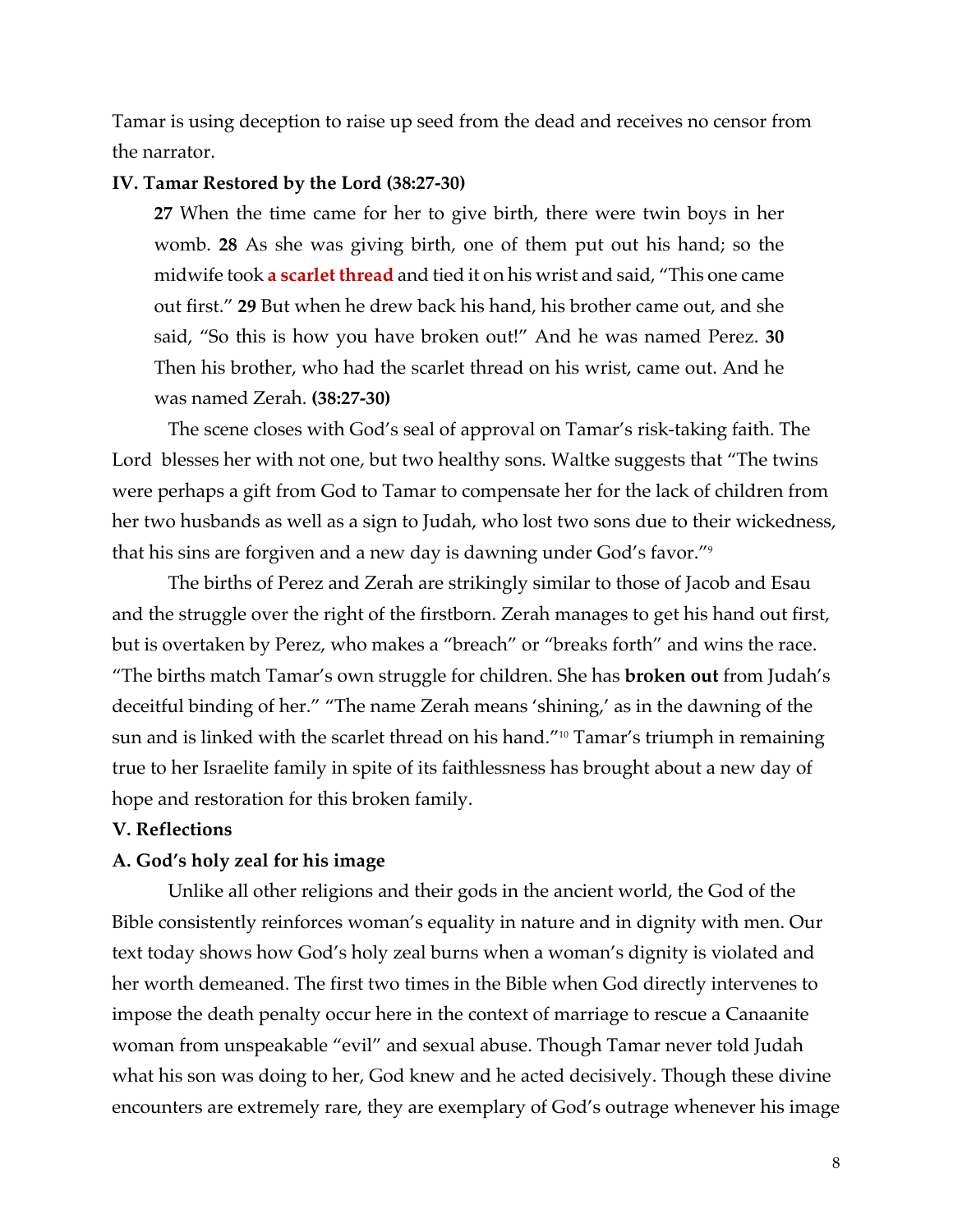Tamar is using deception to raise up seed from the dead and receives no censor from the narrator.

## **IV. Tamar Restored by the Lord (38:27-30)**

**27** When the time came for her to give birth, there were twin boys in her womb. **28** As she was giving birth, one of them put out his hand; so the midwife took **a scarlet thread** and tied it on his wrist and said, "This one came out first." **29** But when he drew back his hand, his brother came out, and she said, "So this is how you have broken out!" And he was named Perez. **30** Then his brother, who had the scarlet thread on his wrist, came out. And he was named Zerah. **(38:27-30)**

The scene closes with God's seal of approval on Tamar's risk-taking faith. The Lord blesses her with not one, but two healthy sons. Waltke suggests that "The twins were perhaps a gift from God to Tamar to compensate her for the lack of children from her two husbands as well as a sign to Judah, who lost two sons due to their wickedness, that his sins are forgiven and a new day is dawning under God's favor."9

The births of Perez and Zerah are strikingly similar to those of Jacob and Esau and the struggle over the right of the firstborn. Zerah manages to get his hand out first, but is overtaken by Perez, who makes a "breach" or "breaks forth" and wins the race. "The births match Tamar's own struggle for children. She has **broken out** from Judah's deceitful binding of her." "The name Zerah means 'shining,' as in the dawning of the sun and is linked with the scarlet thread on his hand."10 Tamar's triumph in remaining true to her Israelite family in spite of its faithlessness has brought about a new day of hope and restoration for this broken family.

# **V. Reflections**

# **A. God's holy zeal for his image**

Unlike all other religions and their gods in the ancient world, the God of the Bible consistently reinforces woman's equality in nature and in dignity with men. Our text today shows how God's holy zeal burns when a woman's dignity is violated and her worth demeaned. The first two times in the Bible when God directly intervenes to impose the death penalty occur here in the context of marriage to rescue a Canaanite woman from unspeakable "evil" and sexual abuse. Though Tamar never told Judah what his son was doing to her, God knew and he acted decisively. Though these divine encounters are extremely rare, they are exemplary of God's outrage whenever his image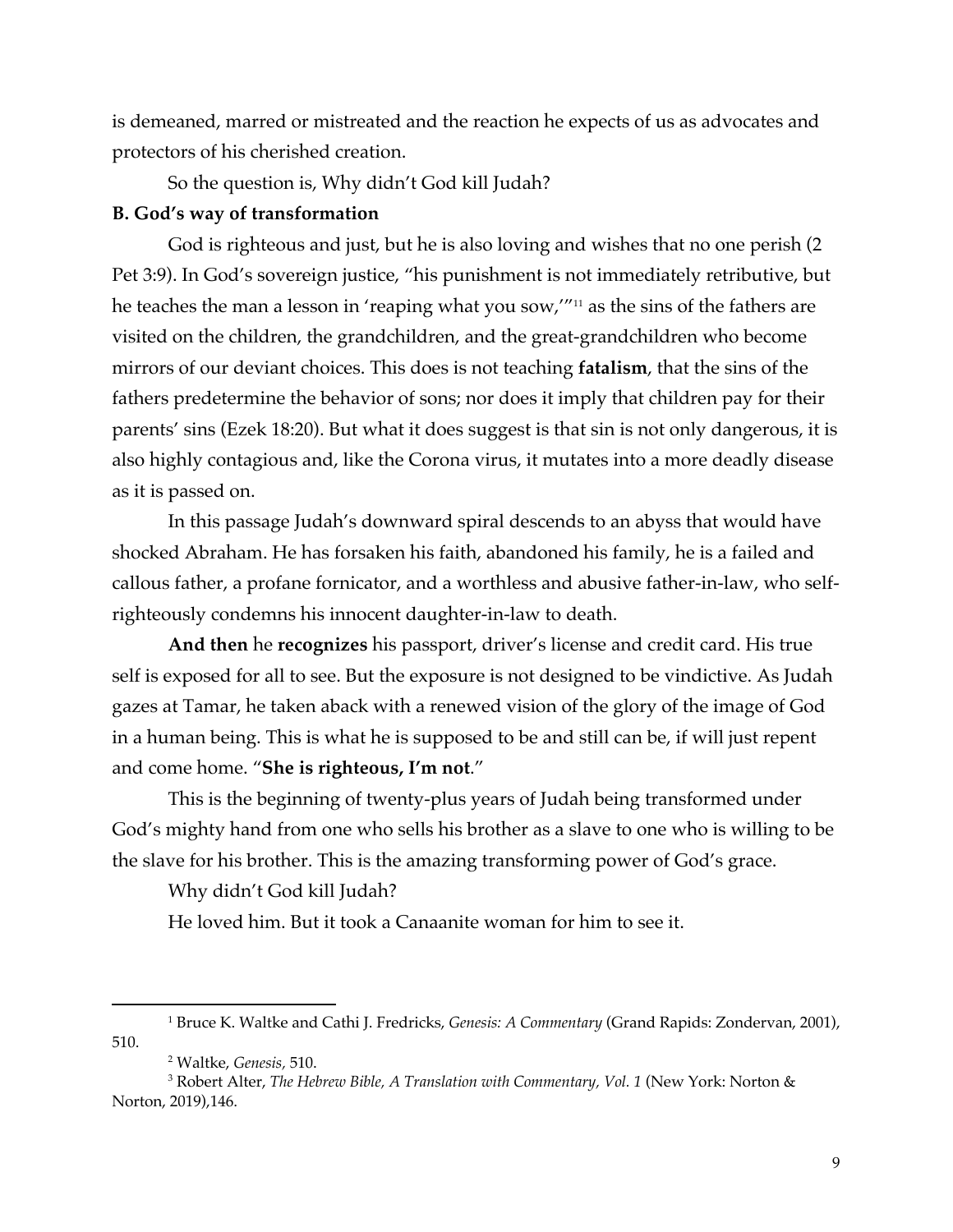is demeaned, marred or mistreated and the reaction he expects of us as advocates and protectors of his cherished creation.

So the question is, Why didn't God kill Judah?

## **B. God's way of transformation**

God is righteous and just, but he is also loving and wishes that no one perish (2 Pet 3:9). In God's sovereign justice, "his punishment is not immediately retributive, but he teaches the man a lesson in 'reaping what you sow,'"<sup>11</sup> as the sins of the fathers are visited on the children, the grandchildren, and the great-grandchildren who become mirrors of our deviant choices. This does is not teaching **fatalism**, that the sins of the fathers predetermine the behavior of sons; nor does it imply that children pay for their parents' sins (Ezek 18:20). But what it does suggest is that sin is not only dangerous, it is also highly contagious and, like the Corona virus, it mutates into a more deadly disease as it is passed on.

In this passage Judah's downward spiral descends to an abyss that would have shocked Abraham. He has forsaken his faith, abandoned his family, he is a failed and callous father, a profane fornicator, and a worthless and abusive father-in-law, who selfrighteously condemns his innocent daughter-in-law to death.

**And then** he **recognizes** his passport, driver's license and credit card. His true self is exposed for all to see. But the exposure is not designed to be vindictive. As Judah gazes at Tamar, he taken aback with a renewed vision of the glory of the image of God in a human being. This is what he is supposed to be and still can be, if will just repent and come home. "**She is righteous, I'm not**."

This is the beginning of twenty-plus years of Judah being transformed under God's mighty hand from one who sells his brother as a slave to one who is willing to be the slave for his brother. This is the amazing transforming power of God's grace.

Why didn't God kill Judah?

He loved him. But it took a Canaanite woman for him to see it.

<sup>1</sup> Bruce K. Waltke and Cathi J. Fredricks, *Genesis: A Commentary* (Grand Rapids: Zondervan, 2001), 510.

<sup>2</sup> Waltke, *Genesis,* 510.

<sup>3</sup> Robert Alter, *The Hebrew Bible, A Translation with Commentary, Vol. 1* (New York: Norton & Norton, 2019),146.